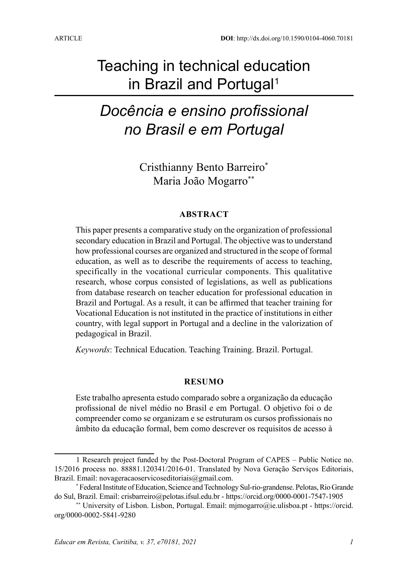# Teaching in technical education in Brazil and Portugal<sup>1</sup>

# *Docência e ensino profissional no Brasil e em Portugal*

Cristhianny Bento Barreiro\* Maria João Mogarro\*\*

#### **ABSTRACT**

This paper presents a comparative study on the organization of professional secondary education in Brazil and Portugal. The objective was to understand how professional courses are organized and structured in the scope of formal education, as well as to describe the requirements of access to teaching, specifically in the vocational curricular components. This qualitative research, whose corpus consisted of legislations, as well as publications from database research on teacher education for professional education in Brazil and Portugal. As a result, it can be affirmed that teacher training for Vocational Education is not instituted in the practice of institutions in either country, with legal support in Portugal and a decline in the valorization of pedagogical in Brazil.

*Keywords*: Technical Education. Teaching Training. Brazil. Portugal.

#### **RESUMO**

Este trabalho apresenta estudo comparado sobre a organização da educação profissional de nível médio no Brasil e em Portugal. O objetivo foi o de compreender como se organizam e se estruturam os cursos profissionais no âmbito da educação formal, bem como descrever os requisitos de acesso à

<sup>1</sup> Research project funded by the Post-Doctoral Program of CAPES – Public Notice no. 15/2016 process no. 88881.120341/2016-01. Translated by Nova Geração Serviços Editoriais, Brazil. Email: novageracaoservicoseditoriais@gmail.com.

<sup>\*</sup> Federal Institute of Education, Science and Technology Sul-rio-grandense. Pelotas, Rio Grande do Sul, Brazil. Email: [crisbarreiro@pelotas.ifsul.edu.br](mailto:crisbarreiro@pelotas.ifsul.edu.br) - <https://orcid.org/0000-0001-7547-1905>

<sup>\*\*</sup> University of Lisbon. Lisbon, Portugal. Email: [mjmogarro@ie.ulisboa.pt](mailto:mjmogarro@ie.ulisboa.pt) - https://orcid. org/0000-0002-5841-9280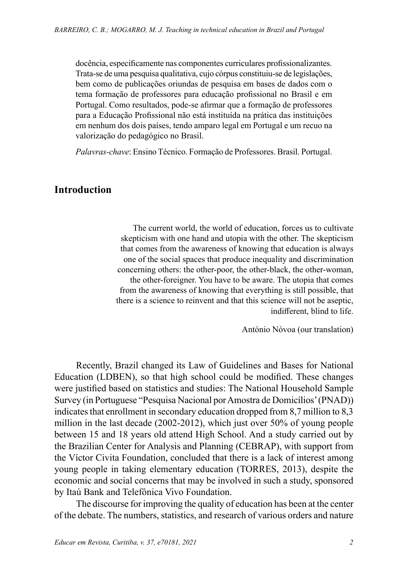docência, especificamente nas componentes curriculares profissionalizantes. Trata-se de uma pesquisa qualitativa, cujo córpus constituiu-se de legislações, bem como de publicações oriundas de pesquisa em bases de dados com o tema formação de professores para educação profissional no Brasil e em Portugal. Como resultados, pode-se afirmar que a formação de professores para a Educação Profissional não está instituída na prática das instituições em nenhum dos dois países, tendo amparo legal em Portugal e um recuo na valorização do pedagógico no Brasil.

*Palavras-chave*: Ensino Técnico. Formação de Professores. Brasil. Portugal.

### **Introduction**

The current world, the world of education, forces us to cultivate skepticism with one hand and utopia with the other. The skepticism that comes from the awareness of knowing that education is always one of the social spaces that produce inequality and discrimination concerning others: the other-poor, the other-black, the other-woman, the other-foreigner. You have to be aware. The utopia that comes from the awareness of knowing that everything is still possible, that there is a science to reinvent and that this science will not be aseptic, indifferent, blind to life.

António Nóvoa (our translation)

Recently, Brazil changed its Law of Guidelines and Bases for National Education (LDBEN), so that high school could be modified. These changes were justified based on statistics and studies: The National Household Sample Survey (in Portuguese "Pesquisa Nacional por Amostra de Domicílios' (PNAD)) indicates that enrollment in secondary education dropped from 8,7 million to 8,3 million in the last decade (2002-2012), which just over 50% of young people between 15 and 18 years old attend High School. And a study carried out by the Brazilian Center for Analysis and Planning (CEBRAP), with support from the Víctor Civita Foundation, concluded that there is a lack of interest among young people in taking elementary education (TORRES, 2013), despite the economic and social concerns that may be involved in such a study, sponsored by Itaú Bank and Telefônica Vivo Foundation.

The discourse for improving the quality of education has been at the center of the debate. The numbers, statistics, and research of various orders and nature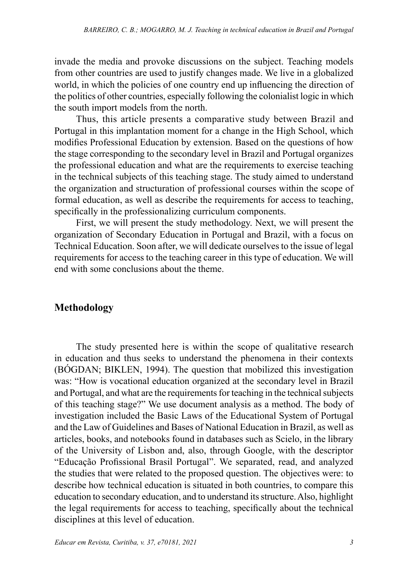invade the media and provoke discussions on the subject. Teaching models from other countries are used to justify changes made. We live in a globalized world, in which the policies of one country end up influencing the direction of the politics of other countries, especially following the colonialist logic in which the south import models from the north.

Thus, this article presents a comparative study between Brazil and Portugal in this implantation moment for a change in the High School, which modifies Professional Education by extension. Based on the questions of how the stage corresponding to the secondary level in Brazil and Portugal organizes the professional education and what are the requirements to exercise teaching in the technical subjects of this teaching stage. The study aimed to understand the organization and structuration of professional courses within the scope of formal education, as well as describe the requirements for access to teaching, specifically in the professionalizing curriculum components.

First, we will present the study methodology. Next, we will present the organization of Secondary Education in Portugal and Brazil, with a focus on Technical Education. Soon after, we will dedicate ourselves to the issue of legal requirements for access to the teaching career in this type of education. We will end with some conclusions about the theme.

## **Methodology**

The study presented here is within the scope of qualitative research in education and thus seeks to understand the phenomena in their contexts (BÓGDAN; BIKLEN, 1994). The question that mobilized this investigation was: "How is vocational education organized at the secondary level in Brazil and Portugal, and what are the requirements for teaching in the technical subjects of this teaching stage?" We use document analysis as a method. The body of investigation included the Basic Laws of the Educational System of Portugal and the Law of Guidelines and Bases of National Education in Brazil, as well as articles, books, and notebooks found in databases such as Scielo, in the library of the University of Lisbon and, also, through Google, with the descriptor "Educação Profissional Brasil Portugal". We separated, read, and analyzed the studies that were related to the proposed question. The objectives were: to describe how technical education is situated in both countries, to compare this education to secondary education, and to understand its structure. Also, highlight the legal requirements for access to teaching, specifically about the technical disciplines at this level of education.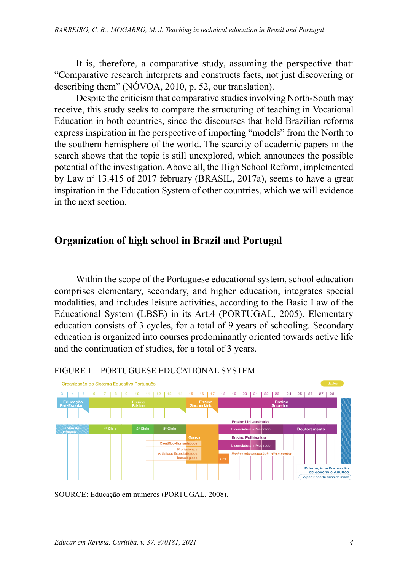It is, therefore, a comparative study, assuming the perspective that: "Comparative research interprets and constructs facts, not just discovering or describing them" (NÓVOA, 2010, p. 52, our translation).

Despite the criticism that comparative studies involving North-South may receive, this study seeks to compare the structuring of teaching in Vocational Education in both countries, since the discourses that hold Brazilian reforms express inspiration in the perspective of importing "models" from the North to the southern hemisphere of the world. The scarcity of academic papers in the search shows that the topic is still unexplored, which announces the possible potential of the investigation. Above all, the High School Reform, implemented by Law nº 13.415 of 2017 february (BRASIL, 2017a), seems to have a great inspiration in the Education System of other countries, which we will evidence in the next section.

# **Organization of high school in Brazil and Portugal**

Within the scope of the Portuguese educational system, school education comprises elementary, secondary, and higher education, integrates special modalities, and includes leisure activities, according to the Basic Law of the Educational System (LBSE) in its Art.4 (PORTUGAL, 2005). Elementary education consists of 3 cycles, for a total of 9 years of schooling. Secondary education is organized into courses predominantly oriented towards active life and the continuation of studies, for a total of 3 years.



#### FIGURE 1 – PORTUGUESE EDUCATIONAL SYSTEM

SOURCE: Educação em números (PORTUGAL, 2008).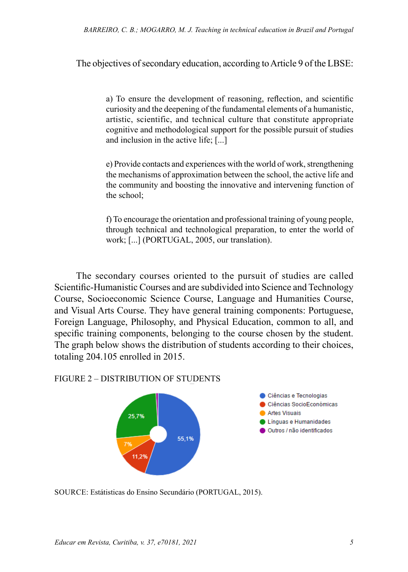The objectives of secondary education, according to Article 9 of the LBSE:

a) To ensure the development of reasoning, reflection, and scientific curiosity and the deepening of the fundamental elements of a humanistic, artistic, scientific, and technical culture that constitute appropriate cognitive and methodological support for the possible pursuit of studies and inclusion in the active life; [...]

e) Provide contacts and experiences with the world of work, strengthening the mechanisms of approximation between the school, the active life and the community and boosting the innovative and intervening function of the school;

f) To encourage the orientation and professional training of young people, through technical and technological preparation, to enter the world of work; [...] (PORTUGAL, 2005, our translation).

The secondary courses oriented to the pursuit of studies are called Scientific-Humanistic Courses and are subdivided into Science and Technology Course, Socioeconomic Science Course, Language and Humanities Course, and Visual Arts Course. They have general training components: Portuguese, Foreign Language, Philosophy, and Physical Education, common to all, and specific training components, belonging to the course chosen by the student. The graph below shows the distribution of students according to their choices, totaling 204.105 enrolled in 2015.

#### FIGURE 2 – DISTRIBUTION OF STUDENTS



SOURCE: Estátisticas do Ensino Secundário (PORTUGAL, 2015).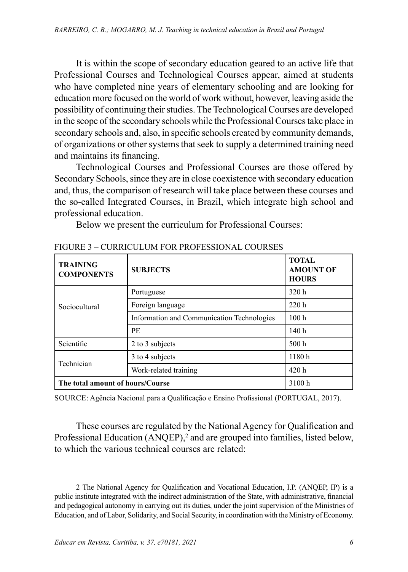It is within the scope of secondary education geared to an active life that Professional Courses and Technological Courses appear, aimed at students who have completed nine years of elementary schooling and are looking for education more focused on the world of work without, however, leaving aside the possibility of continuing their studies. The Technological Courses are developed in the scope of the secondary schools while the Professional Courses take place in secondary schools and, also, in specific schools created by community demands, of organizations or other systems that seek to supply a determined training need and maintains its financing.

Technological Courses and Professional Courses are those offered by Secondary Schools, since they are in close coexistence with secondary education and, thus, the comparison of research will take place between these courses and the so-called Integrated Courses, in Brazil, which integrate high school and professional education.

Below we present the curriculum for Professional Courses:

| <b>TRAINING</b><br><b>COMPONENTS</b> | <b>SUBJECTS</b>                            | <b>TOTAL</b><br><b>AMOUNT OF</b><br><b>HOURS</b> |
|--------------------------------------|--------------------------------------------|--------------------------------------------------|
|                                      | Portuguese                                 | 320h                                             |
| Sociocultural                        | Foreign language                           | 220h                                             |
|                                      | Information and Communication Technologies | 100 <sub>h</sub>                                 |
|                                      | <b>PE</b>                                  | 140 <sub>h</sub>                                 |
| Scientific                           | 2 to 3 subjects                            | 500 <sub>h</sub>                                 |
| Technician                           | 3 to 4 subjects                            | 1180h                                            |
|                                      | Work-related training                      | 420h                                             |
| The total amount of hours/Course     |                                            | 3100h                                            |

FIGURE 3 – CURRICULUM FOR PROFESSIONAL COURSES

SOURCE: Agência Nacional para a Qualificação e Ensino Profissional (PORTUGAL, 2017).

These courses are regulated by the National Agency for Qualification and Professional Education (ANQEP),<sup>2</sup> and are grouped into families, listed below, to which the various technical courses are related:

2 The National Agency for Qualification and Vocational Education, I.P. (ANQEP, IP) is a public institute integrated with the indirect administration of the State, with administrative, financial and pedagogical autonomy in carrying out its duties, under the joint supervision of the Ministries of Education, and of Labor, Solidarity, and Social Security, in coordination with the Ministry of Economy.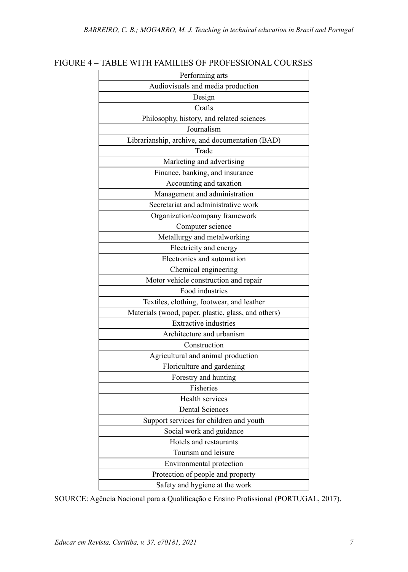| Performing arts                                     |
|-----------------------------------------------------|
| Audiovisuals and media production                   |
| Design                                              |
| Crafts                                              |
| Philosophy, history, and related sciences           |
| Journalism                                          |
| Librarianship, archive, and documentation (BAD)     |
| Trade                                               |
| Marketing and advertising                           |
| Finance, banking, and insurance                     |
| Accounting and taxation                             |
| Management and administration                       |
| Secretariat and administrative work                 |
| Organization/company framework                      |
| Computer science                                    |
| Metallurgy and metalworking                         |
| Electricity and energy                              |
| Electronics and automation                          |
| Chemical engineering                                |
| Motor vehicle construction and repair               |
| Food industries                                     |
| Textiles, clothing, footwear, and leather           |
| Materials (wood, paper, plastic, glass, and others) |
| <b>Extractive</b> industries                        |
| Architecture and urbanism                           |
| Construction                                        |
| Agricultural and animal production                  |
| Floriculture and gardening                          |
| Forestry and hunting                                |
| Fisheries                                           |
| Health services                                     |
| <b>Dental Sciences</b>                              |
| Support services for children and youth             |
| Social work and guidance                            |
| Hotels and restaurants                              |
| Tourism and leisure                                 |
| Environmental protection                            |
| Protection of people and property                   |
| Safety and hygiene at the work                      |

# FIGURE 4 – TABLE WITH FAMILIES OF PROFESSIONAL COURSES

SOURCE: Agência Nacional para a Qualificação e Ensino Profissional (PORTUGAL, 2017).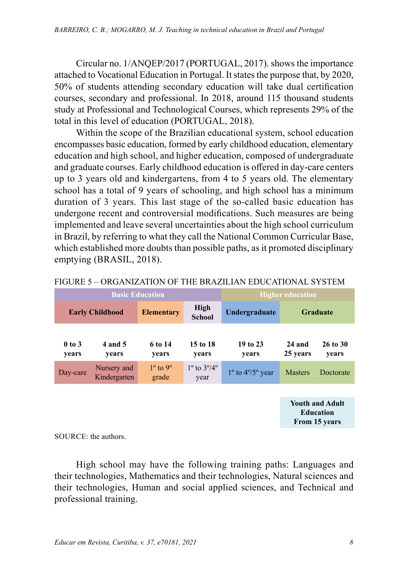Circular no. 1/ANQEP/2017 (PORTUGAL, 2017). shows the importance attached to Vocational Education in Portugal. It states the purpose that, by 2020, 50% of students attending secondary education will take dual certification courses, secondary and professional. In 2018, around 115 thousand students study at Professional and Technological Courses, which represents 29% of the total in this level of education (PORTUGAL, 2018).

Within the scope of the Brazilian educational system, school education encompasses basic education, formed by early childhood education, elementary education and high school, and higher education, composed of undergraduate and graduate courses. Early childhood education is offered in day-care centers up to 3 years old and kindergartens, from 4 to 5 years old. The elementary school has a total of 9 years of schooling, and high school has a minimum duration of 3 years. This last stage of the so-called basic education has undergone recent and controversial modifications. Such measures are being implemented and leave several uncertainties about the high school curriculum in Brazil, by referring to what they call the National Common Curricular Base, which established more doubts than possible paths, as it promoted disciplinary emptying (BRASIL, 2018).

| High<br><b>Early Childhood</b><br><b>Elementary</b><br>Undergraduate<br>Graduate<br><b>School</b><br>19 to 23<br>4 and 5<br>6 to 14<br>15 to 18<br>$0$ to $3$<br>24 and<br>25 years<br>vears<br>vears<br>vears | <b>Basic Education</b> |  |       | <b>Higher education</b> |  |  |                       |
|----------------------------------------------------------------------------------------------------------------------------------------------------------------------------------------------------------------|------------------------|--|-------|-------------------------|--|--|-----------------------|
|                                                                                                                                                                                                                |                        |  |       |                         |  |  |                       |
|                                                                                                                                                                                                                | years                  |  | years |                         |  |  | $26$ to $30$<br>years |
| $1^{\circ}$ to $3^{\circ}/4^{\circ}$<br>$1^\circ$ to $9^\circ$<br>Nursery and<br>$1^{\circ}$ to $4^{\circ}/5^{\circ}$ year<br><b>Masters</b><br>Day-care<br>Kindergarten<br>grade<br>year                      |                        |  |       |                         |  |  | Doctorate             |

**Youth and Adult Education From 15 years**

SOURCE: the authors.

High school may have the following training paths: Languages and their technologies, Mathematics and their technologies, Natural sciences and their technologies, Human and social applied sciences, and Technical and professional training.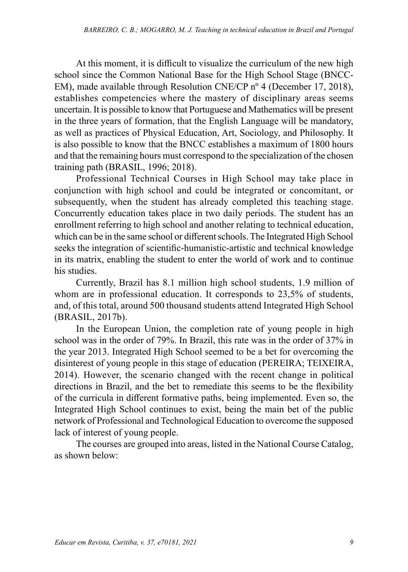At this moment, it is difficult to visualize the curriculum of the new high school since the Common National Base for the High School Stage (BNCC-EM), made available through Resolution CNE/CP nº 4 (December 17, 2018), establishes competencies where the mastery of disciplinary areas seems uncertain. It is possible to know that Portuguese and Mathematics will be present in the three years of formation, that the English Language will be mandatory, as well as practices of Physical Education, Art, Sociology, and Philosophy. It is also possible to know that the BNCC establishes a maximum of 1800 hours and that the remaining hours must correspond to the specialization of the chosen training path (BRASIL, 1996; 2018).

Professional Technical Courses in High School may take place in conjunction with high school and could be integrated or concomitant, or subsequently, when the student has already completed this teaching stage. Concurrently education takes place in two daily periods. The student has an enrollment referring to high school and another relating to technical education, which can be in the same school or different schools. The Integrated High School seeks the integration of scientific-humanistic-artistic and technical knowledge in its matrix, enabling the student to enter the world of work and to continue his studies.

Currently, Brazil has 8.1 million high school students, 1.9 million of whom are in professional education. It corresponds to 23,5% of students, and, of this total, around 500 thousand students attend Integrated High School (BRASIL, 2017b).

In the European Union, the completion rate of young people in high school was in the order of 79%. In Brazil, this rate was in the order of 37% in the year 2013. Integrated High School seemed to be a bet for overcoming the disinterest of young people in this stage of education (PEREIRA; TEIXEIRA, 2014). However, the scenario changed with the recent change in political directions in Brazil, and the bet to remediate this seems to be the flexibility of the curricula in different formative paths, being implemented. Even so, the Integrated High School continues to exist, being the main bet of the public network of Professional and Technological Education to overcome the supposed lack of interest of young people.

The courses are grouped into areas, listed in the National Course Catalog, as shown below: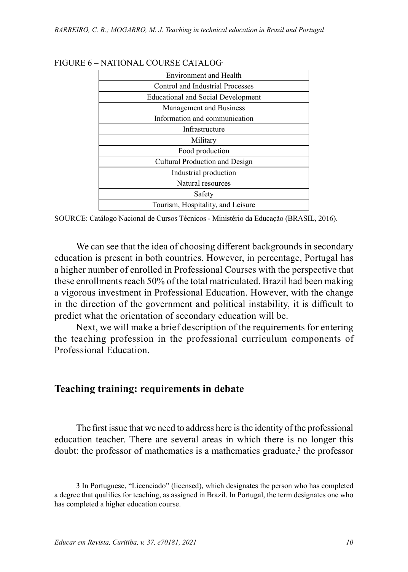| <b>Environment and Health</b>             |
|-------------------------------------------|
| Control and Industrial Processes          |
| <b>Educational and Social Development</b> |
| Management and Business                   |
| Information and communication             |
| Infrastructure                            |
| Military                                  |
| Food production                           |
| Cultural Production and Design            |
| Industrial production                     |
| Natural resources                         |
| Safety                                    |
| Tourism, Hospitality, and Leisure         |

#### FIGURE 6 – NATIONAL COURSE CATALOG.

SOURCE: Catálogo Nacional de Cursos Técnicos - Ministério da Educação (BRASIL, 2016).

We can see that the idea of choosing different backgrounds in secondary education is present in both countries. However, in percentage, Portugal has a higher number of enrolled in Professional Courses with the perspective that these enrollments reach 50% of the total matriculated. Brazil had been making a vigorous investment in Professional Education. However, with the change in the direction of the government and political instability, it is difficult to predict what the orientation of secondary education will be.

Next, we will make a brief description of the requirements for entering the teaching profession in the professional curriculum components of Professional Education.

### **Teaching training: requirements in debate**

The first issue that we need to address here is the identity of the professional education teacher. There are several areas in which there is no longer this doubt: the professor of mathematics is a mathematics graduate, $3$  the professor

<sup>3</sup> In Portuguese, "Licenciado" (licensed), which designates the person who has completed a degree that qualifies for teaching, as assigned in Brazil. In Portugal, the term designates one who has completed a higher education course.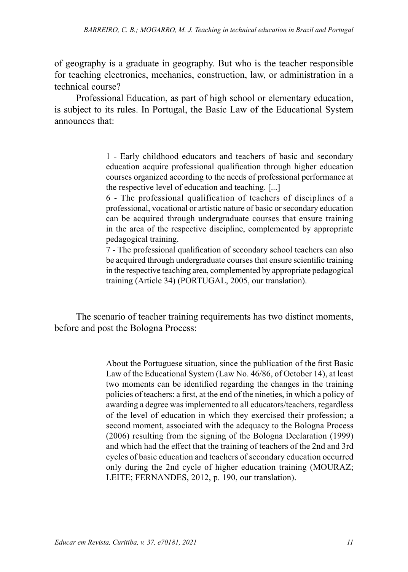of geography is a graduate in geography. But who is the teacher responsible for teaching electronics, mechanics, construction, law, or administration in a technical course?

Professional Education, as part of high school or elementary education, is subject to its rules. In Portugal, the Basic Law of the Educational System announces that:

> 1 - Early childhood educators and teachers of basic and secondary education acquire professional qualification through higher education courses organized according to the needs of professional performance at the respective level of education and teaching. [...]

> 6 - The professional qualification of teachers of disciplines of a professional, vocational or artistic nature of basic or secondary education can be acquired through undergraduate courses that ensure training in the area of the respective discipline, complemented by appropriate pedagogical training.

> 7 - The professional qualification of secondary school teachers can also be acquired through undergraduate courses that ensure scientific training in the respective teaching area, complemented by appropriate pedagogical training (Article 34) (PORTUGAL, 2005, our translation).

The scenario of teacher training requirements has two distinct moments, before and post the Bologna Process:

> About the Portuguese situation, since the publication of the first Basic Law of the Educational System (Law No. 46/86, of October 14), at least two moments can be identified regarding the changes in the training policies of teachers: a first, at the end of the nineties, in which a policy of awarding a degree was implemented to all educators/teachers, regardless of the level of education in which they exercised their profession; a second moment, associated with the adequacy to the Bologna Process (2006) resulting from the signing of the Bologna Declaration (1999) and which had the effect that the training of teachers of the 2nd and 3rd cycles of basic education and teachers of secondary education occurred only during the 2nd cycle of higher education training (MOURAZ; LEITE; FERNANDES, 2012, p. 190, our translation).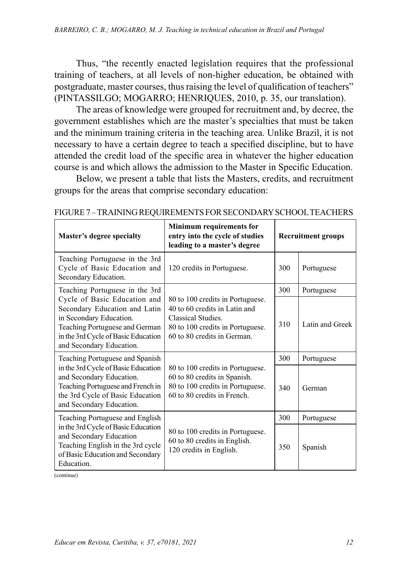Thus, "the recently enacted legislation requires that the professional training of teachers, at all levels of non-higher education, be obtained with postgraduate, master courses, thus raising the level of qualification of teachers" (PINTASSILGO; MOGARRO; HENRIQUES, 2010, p. 35, our translation).

The areas of knowledge were grouped for recruitment and, by decree, the government establishes which are the master's specialties that must be taken and the minimum training criteria in the teaching area. Unlike Brazil, it is not necessary to have a certain degree to teach a specified discipline, but to have attended the credit load of the specific area in whatever the higher education course is and which allows the admission to the Master in Specific Education.

Below, we present a table that lists the Masters, credits, and recruitment groups for the areas that comprise secondary education:

| Master's degree specialty                                                                                                                                                                     | <b>Minimum requirements for</b><br>entry into the cycle of studies<br>leading to a master's degree                                                         | <b>Recruitment groups</b> |                 |
|-----------------------------------------------------------------------------------------------------------------------------------------------------------------------------------------------|------------------------------------------------------------------------------------------------------------------------------------------------------------|---------------------------|-----------------|
| Teaching Portuguese in the 3rd<br>Cycle of Basic Education and<br>Secondary Education.                                                                                                        | 120 credits in Portuguese.                                                                                                                                 | 300                       | Portuguese      |
| Teaching Portuguese in the 3rd                                                                                                                                                                |                                                                                                                                                            | 300                       | Portuguese      |
| Cycle of Basic Education and<br>Secondary Education and Latin<br>in Secondary Education.<br>Teaching Portuguese and German<br>in the 3rd Cycle of Basic Education<br>and Secondary Education. | 80 to 100 credits in Portuguese.<br>40 to 60 credits in Latin and<br>Classical Studies.<br>80 to 100 credits in Portuguese.<br>60 to 80 credits in German. | 310                       | Latin and Greek |
| Teaching Portuguese and Spanish                                                                                                                                                               |                                                                                                                                                            | 300                       | Portuguese      |
| in the 3rd Cycle of Basic Education<br>and Secondary Education.<br>Teaching Portuguese and French in<br>the 3rd Cycle of Basic Education<br>and Secondary Education.                          | 80 to 100 credits in Portuguese.<br>60 to 80 credits in Spanish.<br>80 to 100 credits in Portuguese.<br>60 to 80 credits in French.                        | 340                       | German          |
| Teaching Portuguese and English                                                                                                                                                               |                                                                                                                                                            | 300                       | Portuguese      |
| in the 3rd Cycle of Basic Education<br>and Secondary Education<br>Teaching English in the 3rd cycle<br>of Basic Education and Secondary<br>Education.                                         | 80 to 100 credits in Portuguese.<br>60 to 80 credits in English.<br>120 credits in English.                                                                | 350                       | Spanish         |

(continue)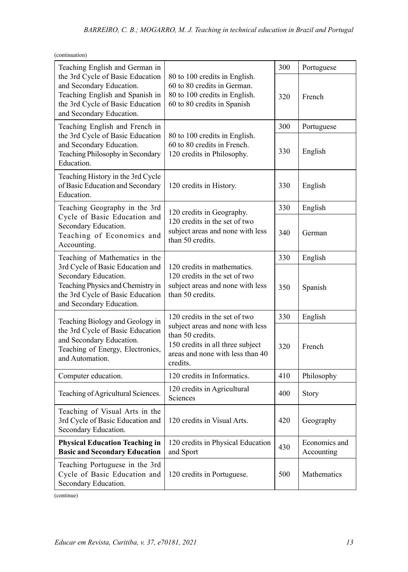| (continuation)                                                                                                                                                  |                                                                                                                                          |     |                             |
|-----------------------------------------------------------------------------------------------------------------------------------------------------------------|------------------------------------------------------------------------------------------------------------------------------------------|-----|-----------------------------|
| Teaching English and German in                                                                                                                                  |                                                                                                                                          | 300 | Portuguese                  |
| the 3rd Cycle of Basic Education<br>and Secondary Education.<br>Teaching English and Spanish in<br>the 3rd Cycle of Basic Education<br>and Secondary Education. | 80 to 100 credits in English.<br>60 to 80 credits in German.<br>80 to 100 credits in English.<br>60 to 80 credits in Spanish             | 320 | French                      |
| Teaching English and French in                                                                                                                                  |                                                                                                                                          | 300 | Portuguese                  |
| the 3rd Cycle of Basic Education<br>and Secondary Education.<br>Teaching Philosophy in Secondary<br>Education.                                                  | 80 to 100 credits in English.<br>60 to 80 credits in French.<br>120 credits in Philosophy.                                               | 330 | English                     |
| Teaching History in the 3rd Cycle<br>of Basic Education and Secondary<br>Education.                                                                             | 120 credits in History.                                                                                                                  | 330 | English                     |
| Teaching Geography in the 3rd                                                                                                                                   | 120 credits in Geography.                                                                                                                | 330 | English                     |
| Cycle of Basic Education and<br>Secondary Education.<br>Teaching of Economics and<br>Accounting.                                                                | 120 credits in the set of two<br>subject areas and none with less<br>than 50 credits.                                                    | 340 | German                      |
| Teaching of Mathematics in the                                                                                                                                  | 120 credits in mathematics.<br>120 credits in the set of two<br>subject areas and none with less<br>than 50 credits.                     | 330 | English                     |
| 3rd Cycle of Basic Education and<br>Secondary Education.<br>Teaching Physics and Chemistry in<br>the 3rd Cycle of Basic Education<br>and Secondary Education.   |                                                                                                                                          | 350 | Spanish                     |
| Teaching Biology and Geology in                                                                                                                                 | 120 credits in the set of two                                                                                                            | 330 | English                     |
| the 3rd Cycle of Basic Education<br>and Secondary Education.<br>Teaching of Energy, Electronics,<br>and Automation.                                             | subject areas and none with less<br>than 50 credits.<br>150 credits in all three subject<br>areas and none with less than 40<br>credits. | 320 | French                      |
| Computer education.                                                                                                                                             | 120 credits in Informatics.                                                                                                              | 410 | Philosophy                  |
| Teaching of Agricultural Sciences.                                                                                                                              | 120 credits in Agricultural<br>Sciences                                                                                                  | 400 | Story                       |
| Teaching of Visual Arts in the<br>3rd Cycle of Basic Education and<br>Secondary Education.                                                                      | 120 credits in Visual Arts.                                                                                                              | 420 | Geography                   |
| <b>Physical Education Teaching in</b><br><b>Basic and Secondary Education</b>                                                                                   | 120 credits in Physical Education<br>and Sport                                                                                           | 430 | Economics and<br>Accounting |
| Teaching Portuguese in the 3rd<br>Cycle of Basic Education and<br>Secondary Education.                                                                          | 120 credits in Portuguese.                                                                                                               | 500 | Mathematics                 |

(continue)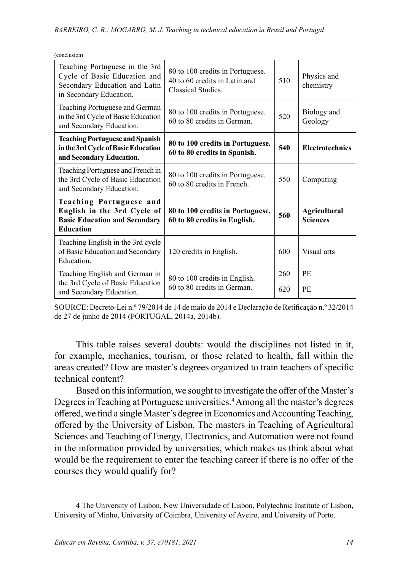| (conclusion)                                                                                                               |                                                                                         |     |                                        |
|----------------------------------------------------------------------------------------------------------------------------|-----------------------------------------------------------------------------------------|-----|----------------------------------------|
| Teaching Portuguese in the 3rd<br>Cycle of Basic Education and<br>Secondary Education and Latin<br>in Secondary Education. | 80 to 100 credits in Portuguese.<br>40 to 60 credits in Latin and<br>Classical Studies. | 510 | Physics and<br>chemistry               |
| Teaching Portuguese and German<br>in the 3rd Cycle of Basic Education<br>and Secondary Education.                          | 80 to 100 credits in Portuguese.<br>60 to 80 credits in German.                         | 520 | Biology and<br>Geology                 |
| <b>Teaching Portuguese and Spanish</b><br>in the 3rd Cycle of Basic Education<br>and Secondary Education.                  | 80 to 100 credits in Portuguese.<br>60 to 80 credits in Spanish.                        | 540 | <b>Electrotechnics</b>                 |
| Teaching Portuguese and French in<br>the 3rd Cycle of Basic Education<br>and Secondary Education.                          | 80 to 100 credits in Portuguese.<br>60 to 80 credits in French.                         | 550 | Computing                              |
| Teaching Portuguese and<br>English in the 3rd Cycle of<br><b>Basic Education and Secondary</b><br><b>Education</b>         | 80 to 100 credits in Portuguese.<br>60 to 80 credits in English.                        | 560 | <b>Agricultural</b><br><b>Sciences</b> |
| Teaching English in the 3rd cycle<br>of Basic Education and Secondary<br>Education.                                        | 120 credits in English.                                                                 | 600 | Visual arts                            |
| Teaching English and German in                                                                                             | 80 to 100 credits in English.                                                           | 260 | <b>PE</b>                              |
| the 3rd Cycle of Basic Education<br>and Secondary Education.                                                               | 60 to 80 credits in German.                                                             | 620 | <b>PE</b>                              |

SOURCE: Decreto-Lei n.º 79/2014 de 14 de maio de 2014 e Declaração de Retificação n.º 32/2014 de 27 de junho de 2014 (PORTUGAL, 2014a, 2014b).

This table raises several doubts: would the disciplines not listed in it, for example, mechanics, tourism, or those related to health, fall within the areas created? How are master's degrees organized to train teachers of specific technical content?

Based on this information, we sought to investigate the offer of the Master's Degrees in Teaching at Portuguese universities.<sup>4</sup> Among all the master's degrees offered, we find a single Master's degree in Economics and Accounting Teaching, offered by the University of Lisbon. The masters in Teaching of Agricultural Sciences and Teaching of Energy, Electronics, and Automation were not found in the information provided by universities, which makes us think about what would be the requirement to enter the teaching career if there is no offer of the courses they would qualify for?

<sup>4</sup> The University of Lisbon, New Universidade of Lisbon, Polytechnic Institute of Lisbon, University of Minho, University of Coimbra, University of Aveiro, and University of Porto.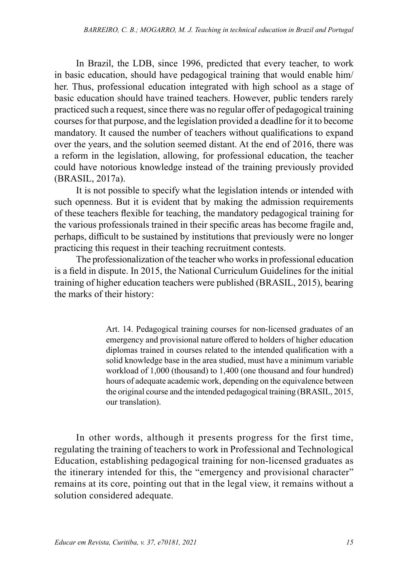In Brazil, the LDB, since 1996, predicted that every teacher, to work in basic education, should have pedagogical training that would enable him/ her. Thus, professional education integrated with high school as a stage of basic education should have trained teachers. However, public tenders rarely practiced such a request, since there was no regular offer of pedagogical training courses for that purpose, and the legislation provided a deadline for it to become mandatory. It caused the number of teachers without qualifications to expand over the years, and the solution seemed distant. At the end of 2016, there was a reform in the legislation, allowing, for professional education, the teacher could have notorious knowledge instead of the training previously provided (BRASIL, 2017a).

It is not possible to specify what the legislation intends or intended with such openness. But it is evident that by making the admission requirements of these teachers flexible for teaching, the mandatory pedagogical training for the various professionals trained in their specific areas has become fragile and, perhaps, difficult to be sustained by institutions that previously were no longer practicing this request in their teaching recruitment contests.

The professionalization of the teacher who works in professional education is a field in dispute. In 2015, the National Curriculum Guidelines for the initial training of higher education teachers were published (BRASIL, 2015), bearing the marks of their history:

> Art. 14. Pedagogical training courses for non-licensed graduates of an emergency and provisional nature offered to holders of higher education diplomas trained in courses related to the intended qualification with a solid knowledge base in the area studied, must have a minimum variable workload of 1,000 (thousand) to 1,400 (one thousand and four hundred) hours of adequate academic work, depending on the equivalence between the original course and the intended pedagogical training (BRASIL, 2015, our translation).

In other words, although it presents progress for the first time, regulating the training of teachers to work in Professional and Technological Education, establishing pedagogical training for non-licensed graduates as the itinerary intended for this, the "emergency and provisional character" remains at its core, pointing out that in the legal view, it remains without a solution considered adequate.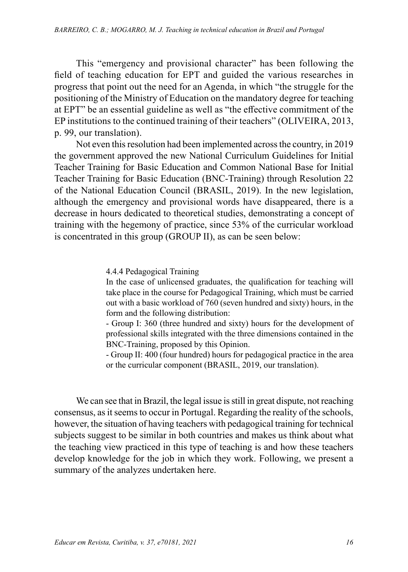This "emergency and provisional character" has been following the field of teaching education for EPT and guided the various researches in progress that point out the need for an Agenda, in which "the struggle for the positioning of the Ministry of Education on the mandatory degree for teaching at EPT" be an essential guideline as well as "the effective commitment of the EP institutions to the continued training of their teachers" (OLIVEIRA, 2013, p. 99, our translation).

Not even this resolution had been implemented across the country, in 2019 the government approved the new National Curriculum Guidelines for Initial Teacher Training for Basic Education and Common National Base for Initial Teacher Training for Basic Education (BNC-Training) through Resolution 22 of the National Education Council (BRASIL, 2019). In the new legislation, although the emergency and provisional words have disappeared, there is a decrease in hours dedicated to theoretical studies, demonstrating a concept of training with the hegemony of practice, since 53% of the curricular workload is concentrated in this group (GROUP II), as can be seen below:

4.4.4 Pedagogical Training

In the case of unlicensed graduates, the qualification for teaching will take place in the course for Pedagogical Training, which must be carried out with a basic workload of 760 (seven hundred and sixty) hours, in the form and the following distribution:

- Group I: 360 (three hundred and sixty) hours for the development of professional skills integrated with the three dimensions contained in the BNC-Training, proposed by this Opinion.

- Group II: 400 (four hundred) hours for pedagogical practice in the area or the curricular component (BRASIL, 2019, our translation).

We can see that in Brazil, the legal issue is still in great dispute, not reaching consensus, as it seems to occur in Portugal. Regarding the reality of the schools, however, the situation of having teachers with pedagogical training for technical subjects suggest to be similar in both countries and makes us think about what the teaching view practiced in this type of teaching is and how these teachers develop knowledge for the job in which they work. Following, we present a summary of the analyzes undertaken here.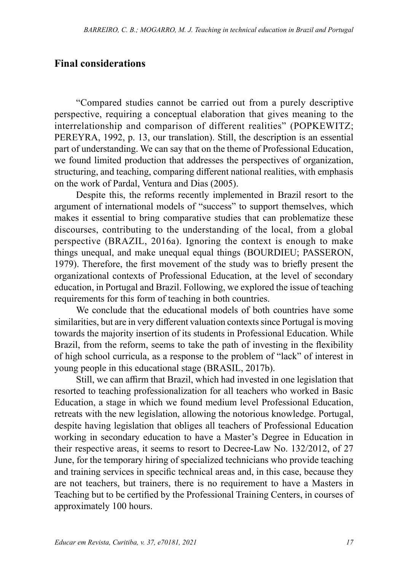## **Final considerations**

"Compared studies cannot be carried out from a purely descriptive perspective, requiring a conceptual elaboration that gives meaning to the interrelationship and comparison of different realities" (POPKEWITZ; PEREYRA, 1992, p. 13, our translation). Still, the description is an essential part of understanding. We can say that on the theme of Professional Education, we found limited production that addresses the perspectives of organization, structuring, and teaching, comparing different national realities, with emphasis on the work of Pardal, Ventura and Dias (2005).

Despite this, the reforms recently implemented in Brazil resort to the argument of international models of "success" to support themselves, which makes it essential to bring comparative studies that can problematize these discourses, contributing to the understanding of the local, from a global perspective (BRAZIL, 2016a). Ignoring the context is enough to make things unequal, and make unequal equal things (BOURDIEU; PASSERON, 1979). Therefore, the first movement of the study was to briefly present the organizational contexts of Professional Education, at the level of secondary education, in Portugal and Brazil. Following, we explored the issue of teaching requirements for this form of teaching in both countries.

We conclude that the educational models of both countries have some similarities, but are in very different valuation contexts since Portugal is moving towards the majority insertion of its students in Professional Education. While Brazil, from the reform, seems to take the path of investing in the flexibility of high school curricula, as a response to the problem of "lack" of interest in young people in this educational stage (BRASIL, 2017b).

Still, we can affirm that Brazil, which had invested in one legislation that resorted to teaching professionalization for all teachers who worked in Basic Education, a stage in which we found medium level Professional Education, retreats with the new legislation, allowing the notorious knowledge. Portugal, despite having legislation that obliges all teachers of Professional Education working in secondary education to have a Master's Degree in Education in their respective areas, it seems to resort to Decree-Law No. 132/2012, of 27 June, for the temporary hiring of specialized technicians who provide teaching and training services in specific technical areas and, in this case, because they are not teachers, but trainers, there is no requirement to have a Masters in Teaching but to be certified by the Professional Training Centers, in courses of approximately 100 hours.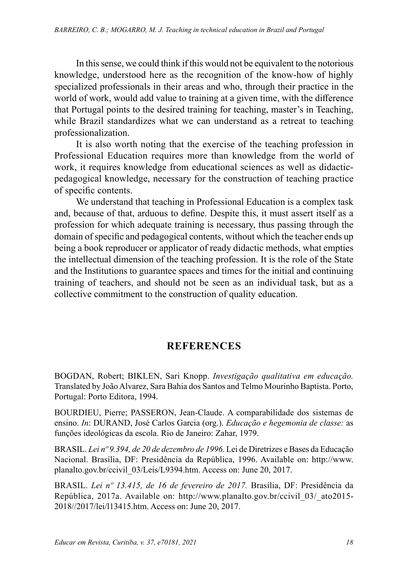In this sense, we could think if this would not be equivalent to the notorious knowledge, understood here as the recognition of the know-how of highly specialized professionals in their areas and who, through their practice in the world of work, would add value to training at a given time, with the difference that Portugal points to the desired training for teaching, master's in Teaching, while Brazil standardizes what we can understand as a retreat to teaching professionalization.

It is also worth noting that the exercise of the teaching profession in Professional Education requires more than knowledge from the world of work, it requires knowledge from educational sciences as well as didacticpedagogical knowledge, necessary for the construction of teaching practice of specific contents.

We understand that teaching in Professional Education is a complex task and, because of that, arduous to define. Despite this, it must assert itself as a profession for which adequate training is necessary, thus passing through the domain of specific and pedagogical contents, without which the teacher ends up being a book reproducer or applicator of ready didactic methods, what empties the intellectual dimension of the teaching profession. It is the role of the State and the Institutions to guarantee spaces and times for the initial and continuing training of teachers, and should not be seen as an individual task, but as a collective commitment to the construction of quality education.

# **REFERENCES**

BOGDAN, Robert; BIKLEN, Sari Knopp. *Investigação qualitativa em educação.* Translated by João Alvarez, Sara Bahia dos Santos and Telmo Mourinho Baptista. Porto, Portugal: Porto Editora, 1994.

BOURDIEU, Pierre; PASSERON, Jean-Claude. A comparabilidade dos sistemas de ensino. *In*: DURAND, José Carlos Garcia (org.). *Educação e hegemonia de classe:* as funções ideológicas da escola. Rio de Janeiro: Zahar, 1979.

BRASIL. *Lei nº 9.394, de 20 de dezembro de 1996*. Lei de Diretrizes e Bases da Educação Nacional. Brasília, DF: Presidência da República, 1996. Available on: [http://www.](http://www.planalto.gov.br/ccivil_03/Leis/L9394.htm) [planalto.gov.br/ccivil\\_03/Leis/L9394.htm.](http://www.planalto.gov.br/ccivil_03/Leis/L9394.htm) Access on: June 20, 2017.

BRASIL. *Lei nº 13.415, de 16 de fevereiro de 2017.* Brasília, DF: Presidência da República, 2017a. Available on: [http://www.planalto.gov.br/ccivil\\_03/\\_ato2015-](http://www.planalto.gov.br/ccivil_03/_ato2015-2018//2017/lei/l13415.htm) [2018//2017/lei/l13415.htm.](http://www.planalto.gov.br/ccivil_03/_ato2015-2018//2017/lei/l13415.htm) Access on: June 20, 2017.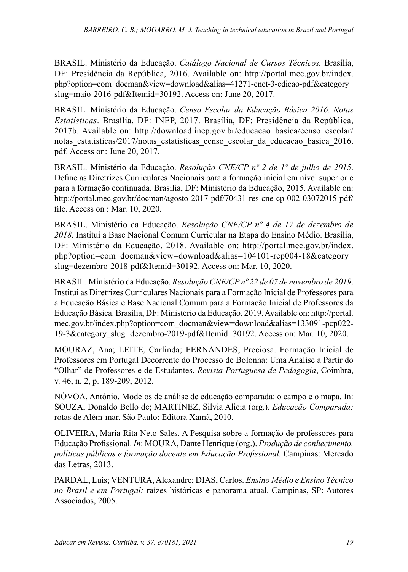BRASIL. Ministério da Educação. *Catálogo Nacional de Cursos Técnicos.* Brasília, DF: Presidência da República, 2016. Available on: [http://portal.mec.gov.br/index.](http://portal.mec.gov.br/index.php?option=com_docman&view=download&alias=41271-cnct-3-edicao-pdf&category_slug=maio-2016-pdf&Itemid=30192) [php?option=com\\_docman&view=download&alias=41271-cnct-3-edicao-pdf&category\\_](http://portal.mec.gov.br/index.php?option=com_docman&view=download&alias=41271-cnct-3-edicao-pdf&category_slug=maio-2016-pdf&Itemid=30192) [slug=maio-2016-pdf&Itemid=30192.](http://portal.mec.gov.br/index.php?option=com_docman&view=download&alias=41271-cnct-3-edicao-pdf&category_slug=maio-2016-pdf&Itemid=30192) Access on: June 20, 2017.

BRASIL. Ministério da Educação. *Censo Escolar da Educação Básica 2016*. *Notas Estatísticas*. Brasília, DF: INEP, 2017. Brasília, DF: Presidência da República, 2017b. Available on: [http://download.inep.gov.br/educacao\\_basica/censo\\_escolar/](http://download.inep.gov.br/educacao_basica/censo_escolar/notas_estatisticas/2017/notas_estatisticas_censo_escolar_da_educacao_basica_2016.pdf) notas estatisticas/2017/notas estatisticas censo escolar da educacao basica 2016. [pdf.](http://download.inep.gov.br/educacao_basica/censo_escolar/notas_estatisticas/2017/notas_estatisticas_censo_escolar_da_educacao_basica_2016.pdf) Access on: June 20, 2017.

BRASIL. Ministério da Educação. *Resolução CNE/CP nº 2 de 1º de julho de 2015*. Define as Diretrizes Curriculares Nacionais para a formação inicial em nível superior e para a formação continuada. Brasília, DF: Ministério da Educação, 2015. Available on: [http://portal.mec.gov.br/docman/agosto-2017-pdf/70431-res-cne-cp-002-03072015-pdf/](http://portal.mec.gov.br/docman/agosto-2017-pdf/70431-res-cne-cp-002-03072015-pdf/file) [file](http://portal.mec.gov.br/docman/agosto-2017-pdf/70431-res-cne-cp-002-03072015-pdf/file). Access on : Mar. 10, 2020.

BRASIL. Ministério da Educação. *Resolução CNE/CP nº 4 de 17 de dezembro de 2018*. Institui a Base Nacional Comum Curricular na Etapa do Ensino Médio. Brasília, DF: Ministério da Educação, 2018. Available on: [http://portal.mec.gov.br/index.](http://portal.mec.gov.br/index.php?option=com_docman&view=download&alias=104101-rcp004-18&category_slug=dezembro-2018-pdf&Itemid=30192) [php?option=com\\_docman&view=download&alias=104101-rcp004-18&category\\_](http://portal.mec.gov.br/index.php?option=com_docman&view=download&alias=104101-rcp004-18&category_slug=dezembro-2018-pdf&Itemid=30192) [slug=dezembro-2018-pdf&Itemid=30192](http://portal.mec.gov.br/index.php?option=com_docman&view=download&alias=104101-rcp004-18&category_slug=dezembro-2018-pdf&Itemid=30192). Access on: Mar. 10, 2020.

BRASIL. Ministério da Educação. *Resolução CNE/CP nº 22 de 07 de novembro de 2019*. Institui as Diretrizes Curriculares Nacionais para a Formação Inicial de Professores para a Educação Básica e Base Nacional Comum para a Formação Inicial de Professores da Educação Básica. Brasília, DF: Ministério da Educação, 2019. Available on: [http://portal.](http://portal.mec.gov.br/index.php?option=com_docman&view=download&alias=133091-pcp022-19-3&category_slug=dezembro-2019-pdf&Itemid=30192) [mec.gov.br/index.php?option=com\\_docman&view=download&alias=133091-pcp022-](http://portal.mec.gov.br/index.php?option=com_docman&view=download&alias=133091-pcp022-19-3&category_slug=dezembro-2019-pdf&Itemid=30192) [19-3&category\\_slug=dezembro-2019-pdf&Itemid=30192](http://portal.mec.gov.br/index.php?option=com_docman&view=download&alias=133091-pcp022-19-3&category_slug=dezembro-2019-pdf&Itemid=30192). Access on: Mar. 10, 2020.

MOURAZ, Ana; LEITE, Carlinda; FERNANDES, Preciosa. Formação Inicial de Professores em Portugal Decorrente do Processo de Bolonha: Uma Análise a Partir do "Olhar" de Professores e de Estudantes. *Revista Portuguesa de Pedagogia*, Coimbra, v. 46, n. 2, p. 189-209, 2012.

NÓVOA, António. Modelos de análise de educação comparada: o campo e o mapa. In: SOUZA, Donaldo Bello de; MARTÍNEZ, Silvia Alicia (org.). *Educação Comparada:* rotas de Além-mar. São Paulo: Editora Xamã, 2010.

OLIVEIRA, Maria Rita Neto Sales. A Pesquisa sobre a formação de professores para Educação Profissional. *In*: MOURA, Dante Henrique (org.). *Produção de conhecimento, políticas públicas e formação docente em Educação Profissional.* Campinas: Mercado das Letras, 2013.

PARDAL, Luís; VENTURA, Alexandre; DIAS, Carlos. *Ensino Médio e Ensino Técnico no Brasil e em Portugal:* raízes históricas e panorama atual. Campinas, SP: Autores Associados, 2005.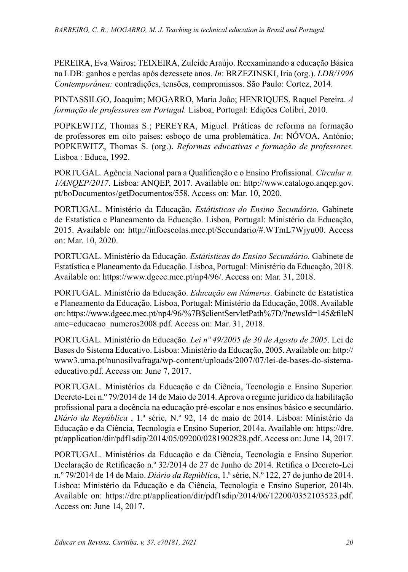PEREIRA, Eva Wairos; TEIXEIRA, Zuleide Araújo. Reexaminando a educação Básica na LDB: ganhos e perdas após dezessete anos. *In*: BRZEZINSKI, Iria (org.). *LDB/1996 Contemporânea:* contradições, tensões, compromissos. São Paulo: Cortez, 2014.

PINTASSILGO, Joaquim; MOGARRO, Maria João; HENRIQUES, Raquel Pereira. *A formação de professores em Portugal.* Lisboa, Portugal: Edições Colibri, 2010.

POPKEWITZ, Thomas S.; PEREYRA, Miguel. Práticas de reforma na formação de professores em oito países: esboço de uma problemática. *In*: NÓVOA, António; POPKEWITZ, Thomas S. (org.). *Reformas educativas e formação de professores.* Lisboa : Educa, 1992.

PORTUGAL. Agência Nacional para a Qualificação e o Ensino Profissional. *Circular n. 1/ANQEP/2017*. Lisboa: ANQEP, 2017. Available on: [http://www.catalogo.anqep.gov.](http://www.catalogo.anqep.gov.pt/boDocumentos/getDocumentos/558) [pt/boDocumentos/getDocumentos/558.](http://www.catalogo.anqep.gov.pt/boDocumentos/getDocumentos/558) Access on: Mar. 10, 2020.

PORTUGAL. Ministério da Educação. *Estátisticas do Ensino Secundário.* Gabinete de Estatística e Planeamento da Educação. Lisboa, Portugal: Ministério da Educação, 2015. Available on: <http://infoescolas.mec.pt/Secundario/#.WTmL7Wjyu00>. Access on: Mar. 10, 2020.

PORTUGAL. Ministério da Educação. *Estátisticas do Ensino Secundário.* Gabinete de Estatística e Planeamento da Educação. Lisboa, Portugal: Ministério da Educação, 2018. Available on: [https://www.dgeec.mec.pt/np4/96/.](https://www.dgeec.mec.pt/np4/96/) Access on: Mar. 31, 2018.

PORTUGAL. Ministério da Educação. *Educação em Números*. Gabinete de Estatística e Planeamento da Educação. Lisboa, Portugal: Ministério da Educação, 2008. Available on: [https://www.dgeec.mec.pt/np4/96/%7B\\$clientServletPath%7D/?newsId=145&fileN](https://www.dgeec.mec.pt/np4/96/%7B$clientServletPath%7D/?newsId=145&fileName=educacao_numeros2008.pdf) [ame=educacao\\_numeros2008.pdf.](https://www.dgeec.mec.pt/np4/96/%7B$clientServletPath%7D/?newsId=145&fileName=educacao_numeros2008.pdf) Access on: Mar. 31, 2018.

PORTUGAL. Ministério da Educação. *Lei nº 49/2005 de 30 de Agosto de 2005*. Lei de Bases do Sistema Educativo. Lisboa: Ministério da Educação, 2005. Available on: [http://](http://www3.uma.pt/nunosilvafraga/wp-content/uploads/2007/07/lei-de-bases-do-sistema-educativo.pdf) [www3.uma.pt/nunosilvafraga/wp-content/uploads/2007/07/lei-de-bases-do-sistema](http://www3.uma.pt/nunosilvafraga/wp-content/uploads/2007/07/lei-de-bases-do-sistema-educativo.pdf)[educativo.pdf.](http://www3.uma.pt/nunosilvafraga/wp-content/uploads/2007/07/lei-de-bases-do-sistema-educativo.pdf) Access on: June 7, 2017.

PORTUGAL. Ministérios da Educação e da Ciência, Tecnologia e Ensino Superior. [Decreto-Lei n.º 79/2014](http://dre.pt/pdf1sdip/2014/05/09200/0281902828.pdf) de 14 de Maio de 2014. Aprova o regime jurídico da habilitação profissional para a docência na educação pré-escolar e nos ensinos básico e secundário. *Diário da República* , 1.ª série, N.º 92, 14 de maio de 2014. Lisboa: Ministério da Educação e da Ciência, Tecnologia e Ensino Superior, 2014a. Available on: [https://dre.](https://dre.pt/application/dir/pdf1sdip/2014/05/09200/0281902828.pdf) [pt/application/dir/pdf1sdip/2014/05/09200/0281902828.pdf](https://dre.pt/application/dir/pdf1sdip/2014/05/09200/0281902828.pdf). Access on: June 14, 2017.

PORTUGAL. Ministérios da Educação e da Ciência, Tecnologia e Ensino Superior. Declaração de Retificação n.º 32/2014 de 27 de Junho de 2014. Retifica o [Decreto-Lei](http://dre.pt/util/getdiplomas.asp?s=sug&iddip=20140725)  [n.º 79/2014](http://dre.pt/util/getdiplomas.asp?s=sug&iddip=20140725) de 14 de Maio. *Diário da República*, 1.ª série, N.º 122, 27 de junho de 2014. Lisboa: Ministério da Educação e da Ciência, Tecnologia e Ensino Superior, 2014b. Available on: <https://dre.pt/application/dir/pdf1sdip/2014/06/12200/0352103523.pdf>. Access on: June 14, 2017.